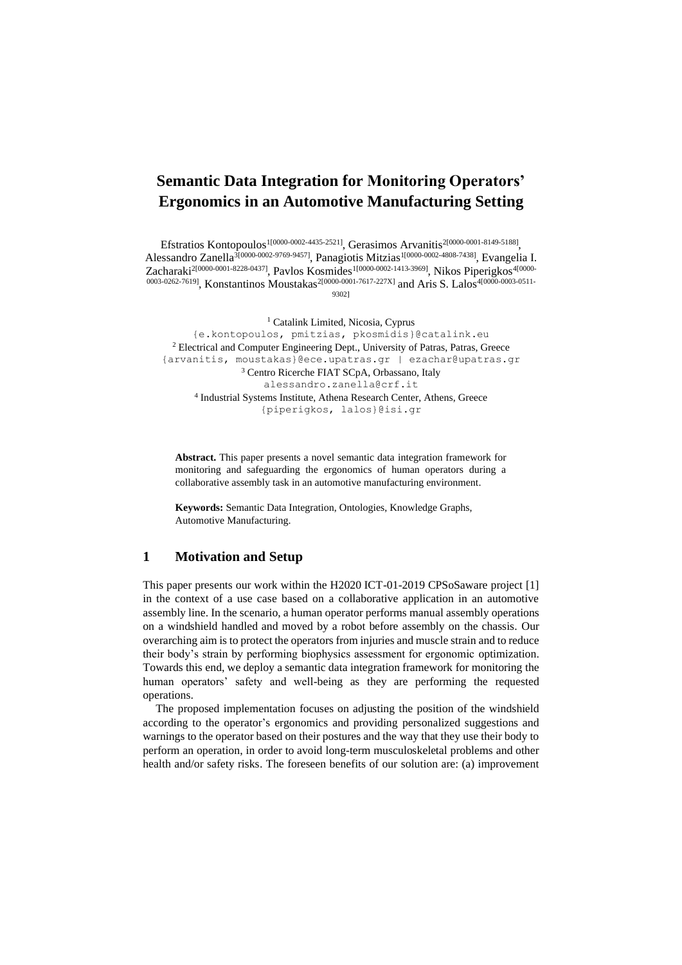# **Semantic Data Integration for Monitoring Operators' Ergonomics in an Automotive Manufacturing Setting**

Efstratios Kontopoulos<sup>1[0000-0002-4435-2521]</sup>, Gerasimos Arvanitis<sup>2[0000-0001-8149-5188]</sup>, Alessandro Zanella<sup>3[0000-0002-9769-9457]</sup>, Panagiotis Mitzias<sup>1[0000-0002-4808-7438]</sup>, Evangelia I. Zacharaki<sup>2[0000-0001-8228-0437]</sup>, Pavlos Kosmides<sup>1[0000-0002-1413-3969]</sup>, Nikos Piperigkos<sup>4[0000-</sup> 0003-0262-7619], Konstantinos Moustakas<sup>2[0000-0001-7617-227X]</sup> and Aris S. Lalos<sup>4[0000-0003-0511-1</sup>

9302]

<sup>1</sup> Catalink Limited, Nicosia, Cyprus {e.kontopoulos, pmitzias, pkosmidis}@catalink.eu <sup>2</sup> Electrical and Computer Engineering Dept., University of Patras, Patras, Greece {arvanitis, [moustakas}@ece.upatras.gr](mailto:moustakas%7d@ece.upatras.gr) | [ezachar@upatras.gr](mailto:ezachar@upatras.gr) <sup>3</sup> Centro Ricerche FIAT SCpA, Orbassano, Italy alessandro.zanella@crf.it 4 Industrial Systems Institute, Athena Research Center, Athens, Greece {piperigkos, lalos}@isi.gr

**Abstract.** This paper presents a novel semantic data integration framework for monitoring and safeguarding the ergonomics of human operators during a collaborative assembly task in an automotive manufacturing environment.

**Keywords:** Semantic Data Integration, Ontologies, Knowledge Graphs, Automotive Manufacturing.

### **1 Motivation and Setup**

This paper presents our work within the H2020 ICT-01-2019 CPSoSaware project [\[1\]](#page-3-0) in the context of a use case based on a collaborative application in an automotive assembly line. In the scenario, a human operator performs manual assembly operations on a windshield handled and moved by a robot before assembly on the chassis. Our overarching aim is to protect the operators from injuries and muscle strain and to reduce their body's strain by performing biophysics assessment for ergonomic optimization. Towards this end, we deploy a semantic data integration framework for monitoring the human operators' safety and well-being as they are performing the requested operations.

The proposed implementation focuses on adjusting the position of the windshield according to the operator's ergonomics and providing personalized suggestions and warnings to the operator based on their postures and the way that they use their body to perform an operation, in order to avoid long-term musculoskeletal problems and other health and/or safety risks. The foreseen benefits of our solution are: (a) improvement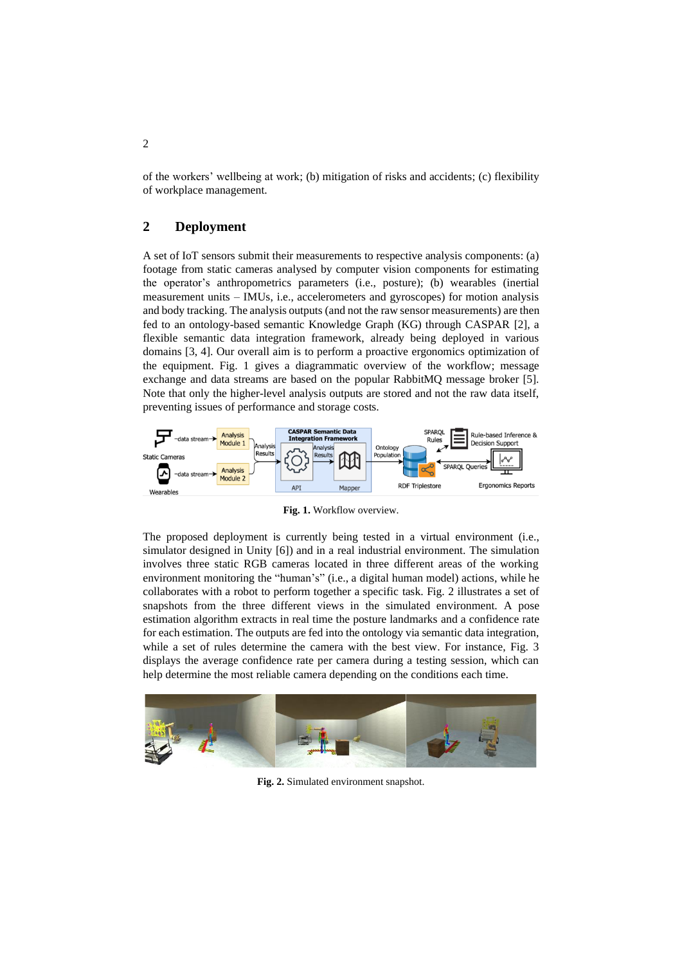of the workers' wellbeing at work; (b) mitigation of risks and accidents; (c) flexibility of workplace management.

### **2 Deployment**

A set of IoT sensors submit their measurements to respective analysis components: (a) footage from static cameras analysed by computer vision components for estimating the operator's anthropometrics parameters (i.e., posture); (b) wearables (inertial measurement units – IMUs, i.e., accelerometers and gyroscopes) for motion analysis and body tracking. The analysis outputs (and not the raw sensor measurements) are then fed to an ontology-based semantic Knowledge Graph (KG) through CASPAR [\[2\]](#page-3-1), a flexible semantic data integration framework, already being deployed in various domains [\[3,](#page-3-2) [4\]](#page-3-3). Our overall aim is to perform a proactive ergonomics optimization of the equipment. [Fig. 1](#page-1-0) gives a diagrammatic overview of the workflow; message exchange and data streams are based on the popular RabbitMQ message broker [\[5\]](#page-3-4). Note that only the higher-level analysis outputs are stored and not the raw data itself, preventing issues of performance and storage costs.



**Fig. 1.** Workflow overview.

<span id="page-1-0"></span>The proposed deployment is currently being tested in a virtual environment (i.e., simulator designed in Unity [\[6\]](#page-3-5)) and in a real industrial environment. The simulation involves three static RGB cameras located in three different areas of the working environment monitoring the "human's" (i.e., a digital human model) actions, while he collaborates with a robot to perform together a specific task. [Fig. 2](#page-1-1) illustrates a set of snapshots from the three different views in the simulated environment. A pose estimation algorithm extracts in real time the posture landmarks and a confidence rate for each estimation. The outputs are fed into the ontology via semantic data integration, while a set of rules determine the camera with the best view. For instance, [Fig. 3](#page-2-0) displays the average confidence rate per camera during a testing session, which can help determine the most reliable camera depending on the conditions each time.

<span id="page-1-1"></span>

**Fig. 2.** Simulated environment snapshot.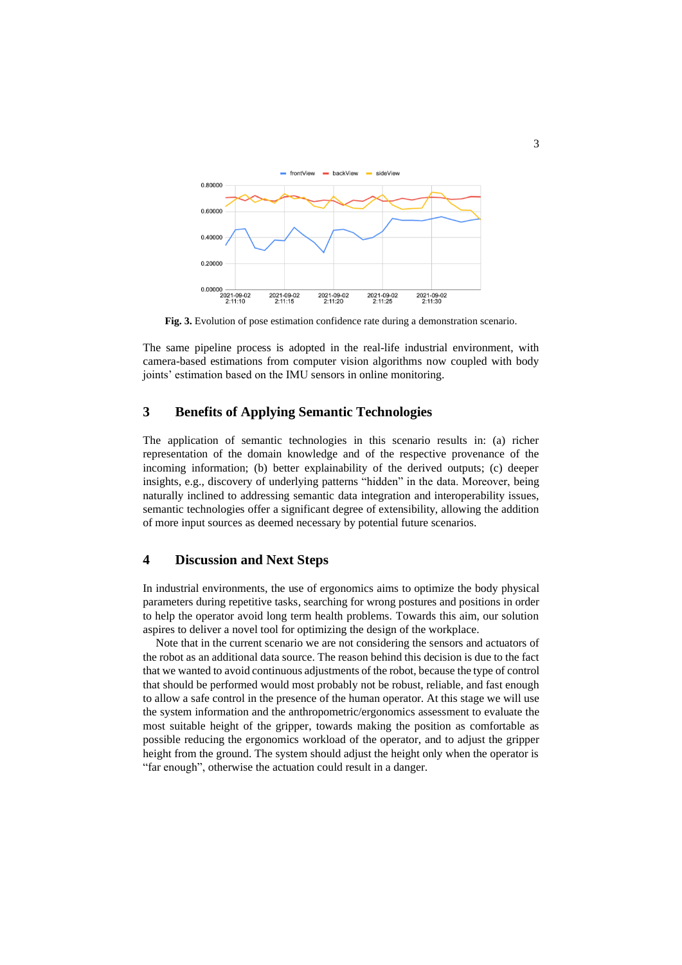

<span id="page-2-0"></span>**Fig. 3.** Evolution of pose estimation confidence rate during a demonstration scenario.

The same pipeline process is adopted in the real-life industrial environment, with camera-based estimations from computer vision algorithms now coupled with body joints' estimation based on the IMU sensors in online monitoring.

## **3 Benefits of Applying Semantic Technologies**

The application of semantic technologies in this scenario results in: (a) richer representation of the domain knowledge and of the respective provenance of the incoming information; (b) better explainability of the derived outputs; (c) deeper insights, e.g., discovery of underlying patterns "hidden" in the data. Moreover, being naturally inclined to addressing semantic data integration and interoperability issues, semantic technologies offer a significant degree of extensibility, allowing the addition of more input sources as deemed necessary by potential future scenarios.

### **4 Discussion and Next Steps**

In industrial environments, the use of ergonomics aims to optimize the body physical parameters during repetitive tasks, searching for wrong postures and positions in order to help the operator avoid long term health problems. Towards this aim, our solution aspires to deliver a novel tool for optimizing the design of the workplace.

Note that in the current scenario we are not considering the sensors and actuators of the robot as an additional data source. The reason behind this decision is due to the fact that we wanted to avoid continuous adjustments of the robot, because the type of control that should be performed would most probably not be robust, reliable, and fast enough to allow a safe control in the presence of the human operator. At this stage we will use the system information and the anthropometric/ergonomics assessment to evaluate the most suitable height of the gripper, towards making the position as comfortable as possible reducing the ergonomics workload of the operator, and to adjust the gripper height from the ground. The system should adjust the height only when the operator is "far enough", otherwise the actuation could result in a danger.